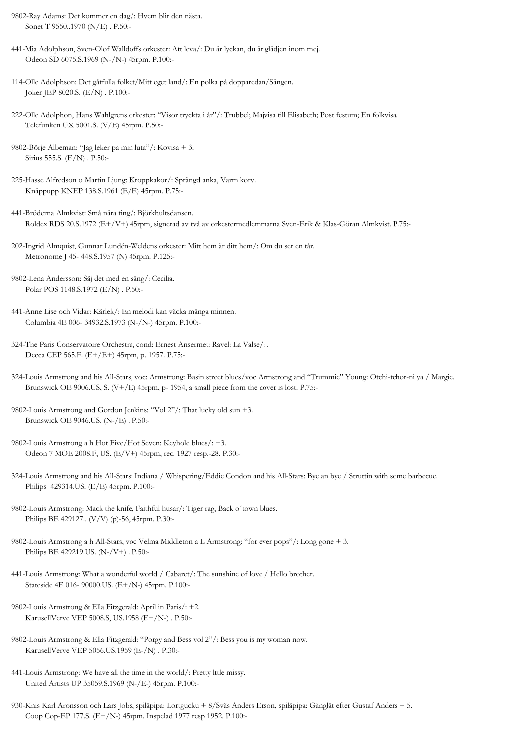9802-Ray Adams: Det kommer en dag/: Hvem blir den nästa. Sonet T 9550..1970 (N/E) . P.50:-

- 441-Mia Adolphson, Sven-Olof Walldoffs orkester: Att leva/: Du är lyckan, du är glädjen inom mej. Odeon SD 6075.S.1969 (N-/N-) 45rpm. P.100:-
- 114-Olle Adolphson: Det gåtfulla folket/Mitt eget land/: En polka på dopparedan/Sängen. Joker JEP 8020.S. (E/N) . P.100:-
- 222-Olle Adolphon, Hans Wahlgrens orkester: "Visor tryckta i år"/: Trubbel; Majvisa till Elisabeth; Post festum; En folkvisa. Telefunken UX 5001.S. (V/E) 45rpm. P.50:-
- 9802-Börje Albeman: "Jag leker på min luta"/: Kovisa + 3. Sirius 555.S. (E/N) . P.50:-
- 225-Hasse Alfredson o Martin Ljung: Kroppkakor/: Sprängd anka, Varm korv. Knäppupp KNEP 138.S.1961 (E/E) 45rpm. P.75:-
- 441-Bröderna Almkvist: Små nära ting/: Björkhultsdansen. Roldex RDS 20.S.1972 (E+/V+) 45rpm, signerad av två av orkestermedlemmarna Sven-Erik & Klas-Göran Almkvist. P.75:-
- 202-Ingrid Almquist, Gunnar Lundén-Weldens orkester: Mitt hem är ditt hem/: Om du ser en tår. Metronome J 45- 448.S.1957 (N) 45rpm. P.125:-
- 9802-Lena Andersson: Säj det med en sång/: Cecilia. Polar POS 1148.S.1972 (E/N) . P.50:-
- 441-Anne Lise och Vidar: Kärlek/: En melodi kan väcka många minnen. Columbia 4E 006- 34932.S.1973 (N-/N-) 45rpm. P.100:-
- 324-The Paris Conservatoire Orchestra, cond: Ernest Ansermet: Ravel: La Valse/: . Decca CEP 565.F. (E+/E+) 45rpm, p. 1957. P.75:-
- 324-Louis Armstrong and his All-Stars, voc: Armstrong: Basin street blues/voc Armstrong and "Trummie" Young: Otchi-tchor-ni ya / Margie. Brunswick OE 9006.US, S. (V+/E) 45rpm, p- 1954, a small piece from the cover is lost. P.75:-
- 9802-Louis Armstrong and Gordon Jenkins: "Vol 2"/: That lucky old sun +3. Brunswick OE 9046.US. (N-/E) . P.50:-
- 9802-Louis Armstrong a h Hot Five/Hot Seven: Keyhole blues/: +3. Odeon 7 MOE 2008.F, US. (E/V+) 45rpm, rec. 1927 resp.-28. P.30:-
- 324-Louis Armstrong and his All-Stars: Indiana / Whispering/Eddie Condon and his All-Stars: Bye an bye / Struttin with some barbecue. Philips 429314.US. (E/E) 45rpm. P.100:-
- 9802-Louis Armstrong: Mack the knife, Faithful husar/: Tiger rag, Back o´town blues. Philips BE 429127.. (V/V) (p)-56, 45rpm. P.30:-
- 9802-Louis Armstrong a h All-Stars, voc Velma Middleton a L Armstrong: "for ever pops"/: Long gone + 3. Philips BE 429219.US. (N-/V+) . P.50:-
- 441-Louis Armstrong: What a wonderful world / Cabaret/: The sunshine of love / Hello brother. Stateside 4E 016- 90000.US. (E+/N-) 45rpm. P.100:-
- 9802-Louis Armstrong & Ella Fitzgerald: April in Paris/: +2. KarusellVerve VEP 5008.S, US.1958 (E+/N-) . P.50:-
- 9802-Louis Armstrong & Ella Fitzgerald: "Porgy and Bess vol 2"/: Bess you is my woman now. KarusellVerve VEP 5056.US.1959 (E-/N) . P.30:-
- 441-Louis Armstrong: We have all the time in the world/: Pretty lttle missy. United Artists UP 35059.S.1969 (N-/E-) 45rpm. P.100:-
- 930-Knis Karl Aronsson och Lars Jobs, spilåpipa: Lortgucku + 8/Sväs Anders Erson, spilåpipa: Gånglåt efter Gustaf Anders + 5. Coop Cop-EP 177.S. (E+/N-) 45rpm. Inspelad 1977 resp 1952. P.100:-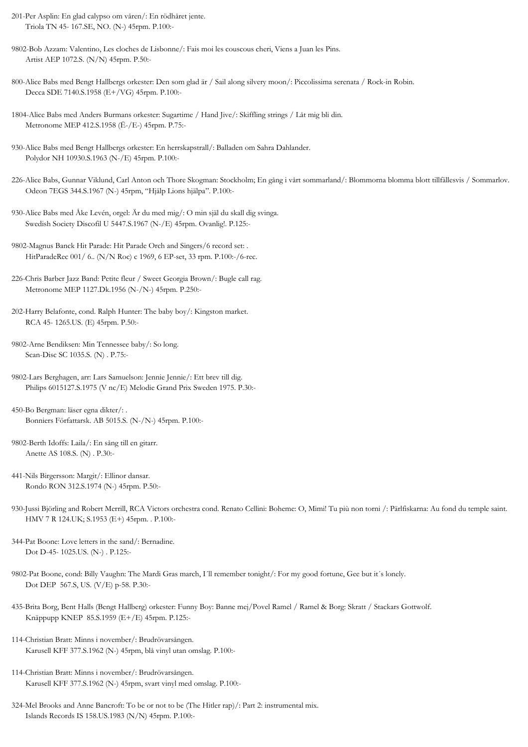- 201-Per Asplin: En glad calypso om våren/: En rödhåret jente. Triola TN 45- 167.SE, NO. (N-) 45rpm. P.100:-
- 9802-Bob Azzam: Valentino, Les cloches de Lisbonne/: Fais moi les couscous cheri, Viens a Juan les Pins. Artist AEP 1072.S. (N/N) 45rpm. P.50:-
- 800-Alice Babs med Bengt Hallbergs orkester: Den som glad är / Sail along silvery moon/: Piccolissima serenata / Rock-in Robin. Decca SDE 7140.S.1958 (E+/VG) 45rpm. P.100:-
- 1804-Alice Babs med Anders Burmans orkester: Sugartime / Hand Jive/: Skiffling strings / Låt mig bli din. Metronome MEP 412.S.1958 (Ë-/E-) 45rpm. P.75:-
- 930-Alice Babs med Bengt Hallbergs orkester: En herrskapstrall/: Balladen om Sahra Dahlander. Polydor NH 10930.S.1963 (N-/E) 45rpm. P.100:-
- 226-Alice Babs, Gunnar Viklund, Carl Anton och Thore Skogman: Stockholm; En gång i vårt sommarland/: Blommorna blomma blott tillfällesvis / Sommarlov. Odeon 7EGS 344.S.1967 (N-) 45rpm, "Hjälp Lions hjälpa". P.100:-
- 930-Alice Babs med Åke Levén, orgel: Är du med mig/: O min själ du skall dig svinga. Swedish Society Discofil U 5447.S.1967 (N-/E) 45rpm. Ovanlig!. P.125:-
- 9802-Magnus Banck Hit Parade: Hit Parade Orch and Singers/6 record set: . HitParadeRec 001/ 6.. (N/N Roc) c 1969, 6 EP-set, 33 rpm. P.100:-/6-rec.
- 226-Chris Barber Jazz Band: Petite fleur / Sweet Georgia Brown/: Bugle call rag. Metronome MEP 1127.Dk.1956 (N-/N-) 45rpm. P.250:-
- 202-Harry Belafonte, cond. Ralph Hunter: The baby boy/: Kingston market. RCA 45- 1265.US. (E) 45rpm. P.50:-
- 9802-Arne Bendiksen: Min Tennessee baby/: So long. Scan-Disc SC 1035.S. (N) . P.75:-
- 9802-Lars Berghagen, arr: Lars Samuelson: Jennie Jennie/: Ett brev till dig. Philips 6015127.S.1975 (V nc/E) Melodie Grand Prix Sweden 1975. P.30:-
- 450-Bo Bergman: läser egna dikter/: . Bonniers Författarsk. AB 5015.S. (N-/N-) 45rpm. P.100:-
- 9802-Berth Idoffs: Laila/: En sång till en gitarr. Anette AS 108.S. (N) . P.30:-
- 441-Nils Birgersson: Margit/: Ellinor dansar. Rondo RON 312.S.1974 (N-) 45rpm. P.50:-
- 930-Jussi Björling and Robert Merrill, RCA Victors orchestra cond. Renato Cellini: Boheme: O, Mimi! Tu più non torni /: Pärlfiskarna: Au fond du temple saint. HMV 7 R 124.UK; S.1953 (E+) 45rpm. . P.100:-
- 344-Pat Boone: Love letters in the sand/: Bernadine. Dot D-45- 1025.US. (N-) . P.125:-
- 9802-Pat Boone, cond: Billy Vaughn: The Mardi Gras march, I´ll remember tonight/: For my good fortune, Gee but it´s lonely. Dot DEP 567.S, US. (V/E) p-58. P.30:-
- 435-Brita Borg, Bent Halls (Bengt Hallberg) orkester: Funny Boy: Banne mej/Povel Ramel / Ramel & Borg: Skratt / Stackars Gottwolf. Knäppupp KNEP 85.S.1959 (E+/E) 45rpm. P.125:-
- 114-Christian Bratt: Minns i november/: Brudrövarsången. Karusell KFF 377.S.1962 (N-) 45rpm, blå vinyl utan omslag. P.100:-
- 114-Christian Bratt: Minns i november/: Brudrövarsången. Karusell KFF 377.S.1962 (N-) 45rpm, svart vinyl med omslag. P.100:-
- 324-Mel Brooks and Anne Bancroft: To be or not to be (The Hitler rap)/: Part 2: instrumental mix. Islands Records IS 158.US.1983 (N/N) 45rpm. P.100:-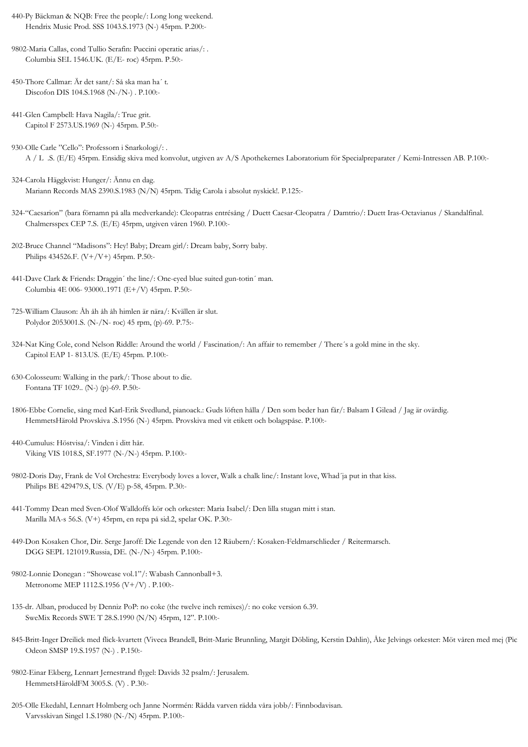- 440-Py Bäckman & NQB: Free the people/: Long long weekend. Hendrix Music Prod. SSS 1043.S.1973 (N-) 45rpm. P.200:-
- 9802-Maria Callas, cond Tullio Serafin: Puccini operatic arias/: . Columbia SEL 1546.UK. (E/E- roc) 45rpm. P.50:-
- 450-Thore Callmar: Är det sant/: Så ska man ha´ t. Discofon DIS 104.S.1968 (N-/N-) . P.100:-
- 441-Glen Campbell: Hava Nagila/: True grit. Capitol F 2573.US.1969 (N-) 45rpm. P.50:-
- 930-Olle Carle "Cello": Professorn i Snarkologi/: . A / L .S. (E/E) 45rpm. Ensidig skiva med konvolut, utgiven av A/S Apothekernes Laboratorium för Specialpreparater / Kemi-Intressen AB. P.100:-
- 324-Carola Häggkvist: Hunger/: Ännu en dag. Mariann Records MAS 2390.S.1983 (N/N) 45rpm. Tidig Carola i absolut nyskick!. P.125:-
- 324-"Caesarion" (bara förnamn på alla medverkande): Cleopatras entrésång / Duett Caesar-Cleopatra / Damtrio/: Duett Iras-Octavianus / Skandalfinal. Chalmersspex CEP 7.S. (E/E) 45rpm, utgiven våren 1960. P.100:-
- 202-Bruce Channel "Madisons": Hey! Baby; Dream girl/: Dream baby, Sorry baby. Philips 434526.F. (V+/V+) 45rpm. P.50:-
- 441-Dave Clark & Friends: Draggin´ the line/: One-eyed blue suited gun-totin´ man. Columbia 4E 006- 93000..1971 (E+/V) 45rpm. P.50:-
- 725-William Clauson: Åh åh åh åh himlen är nära/: Kvällen är slut. Polydor 2053001.S. (N-/N- roc) 45 rpm, (p)-69. P.75:-
- 324-Nat King Cole, cond Nelson Riddle: Around the world / Fascination/: An affair to remember / There´s a gold mine in the sky. Capitol EAP 1- 813.US. (E/E) 45rpm. P.100:-
- 630-Colosseum: Walking in the park/: Those about to die. Fontana TF 1029.. (N-) (p)-69. P.50:-
- 1806-Ebbe Cornelie, sång med Karl-Erik Svedlund, pianoack.: Guds löften hålla / Den som beder han får/: Balsam I Gilead / Jag är ovärdig. HemmetsHärold Provskiva .S.1956 (N-) 45rpm. Provskiva med vit etikett och bolagspåse. P.100:-
- 440-Cumulus: Höstvisa/: Vinden i ditt hår. Viking VIS 1018.S, SF.1977 (N-/N-) 45rpm. P.100:-
- 9802-Doris Day, Frank de Vol Orchestra: Everybody loves a lover, Walk a chalk line/: Instant love, Whad´ja put in that kiss. Philips BE 429479.S, US. (V/E) p-58, 45rpm. P.30:-
- 441-Tommy Dean med Sven-Olof Walldoffs kör och orkester: Maria Isabel/: Den lilla stugan mitt i stan. Marilla MA-s 56.S. (V+) 45rpm, en repa på sid.2, spelar OK. P.30:-
- 449-Don Kosaken Chor, Dir. Serge Jaroff: Die Legende von den 12 Räubern/: Kosaken-Feldmarschlieder / Reitermarsch. DGG SEPL 121019.Russia, DE. (N-/N-) 45rpm. P.100:-
- 9802-Lonnie Donegan : "Showcase vol.1"/: Wabash Cannonball+3. Metronome MEP 1112.S.1956 (V+/V) . P.100:-
- 135-dr. Alban, produced by Denniz PoP: no coke (the twelve inch remixes)/: no coke version 6.39. SweMix Records SWE T 28.S.1990 (N/N) 45rpm, 12". P.100:-
- 845-Britt-Inger Dreilick med flick-kvartett (Viveca Brandell, Britt-Marie Brunnling, Margit Döbling, Kerstin Dahlin), Åke Jelvings orkester: Möt våren med mej (Pic Odeon SMSP 19.S.1957 (N-) . P.150:-
- 9802-Einar Ekberg, Lennart Jernestrand flygel: Davids 32 psalm/: Jerusalem. HemmetsHäroldFM 3005.S. (V) . P.30:-
- 205-Olle Ekedahl, Lennart Holmberg och Janne Norrmén: Rädda varven rädda våra jobb/: Finnbodavisan. Varvsskivan Singel 1.S.1980 (N-/N) 45rpm. P.100:-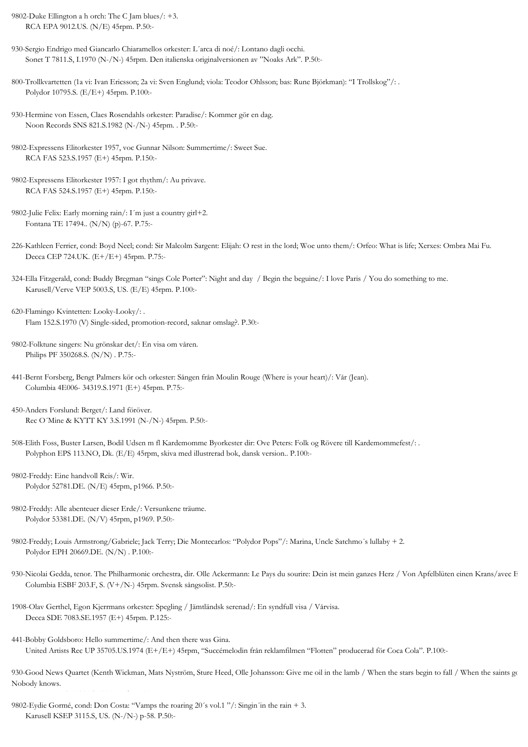9802-Duke Ellington a h orch: The C Jam blues/: +3. RCA EPA 9012.US. (N/E) 45rpm. P.50:-

- 930-Sergio Endrigo med Giancarlo Chiaramellos orkester: L´arca di noé/: Lontano dagli occhi. Sonet T 7811.S, I.1970 (N-/N-) 45rpm. Den italienska originalversionen av "Noaks Ark". P.50:-
- 800-Trollkvartetten (1a vi: Ivan Ericsson; 2a vi: Sven Englund; viola: Teodor Ohlsson; bas: Rune Björkman): "I Trollskog"/: . Polydor 10795.S. (E/E+) 45rpm. P.100:-
- 930-Hermine von Essen, Claes Rosendahls orkester: Paradise/: Kommer gör en dag. Noon Records SNS 821.S.1982 (N-/N-) 45rpm. . P.50:-
- 9802-Expressens Elitorkester 1957, voc Gunnar Nilson: Summertime/: Sweet Sue. RCA FAS 523.S.1957 (E+) 45rpm. P.150:-
- 9802-Expressens Elitorkester 1957: I got rhythm/: Au privave. RCA FAS 524.S.1957 (E+) 45rpm. P.150:-
- 9802-Julie Felix: Early morning rain/: I´m just a country girl+2. Fontana TE 17494.. (N/N) (p)-67. P.75:-
- 226-Kathleen Ferrier, cond: Boyd Neel; cond: Sir Malcolm Sargent: Elijah: O rest in the lord; Woe unto them/: Orfeo: What is life; Xerxes: Ombra Mai Fu. Decca CEP 724.UK. (E+/E+) 45rpm. P.75:-
- 324-Ella Fitzgerald, cond: Buddy Bregman "sings Cole Porter": Night and day / Begin the beguine/: I love Paris / You do something to me. Karusell/Verve VEP 5003.S, US. (E/E) 45rpm. P.100:-
- 620-Flamingo Kvintetten: Looky-Looky/: . Flam 152.S.1970 (V) Single-sided, promotion-record, saknar omslag?. P.30:-
- 9802-Folktune singers: Nu grönskar det/: En visa om våren. Philips PF 350268.S. (N/N) . P.75:-
- 441-Bernt Forsberg, Bengt Palmers kör och orkester: Sången från Moulin Rouge (Where is your heart)/: Vår (Jean). Columbia 4E006- 34319.S.1971 (E+) 45rpm. P.75:-
- 450-Anders Forslund: Berget/: Land föröver. Rec O´Mine & KYTT KY 3.S.1991 (N-/N-) 45rpm. P.50:-
- 508-Elith Foss, Buster Larsen, Bodil Udsen m fl Kardemomme Byorkester dir: Ove Peters: Folk og Rövere till Kardemommefest/: . Polyphon EPS 113.NO, Dk. (E/E) 45rpm, skiva med illustrerad bok, dansk version.. P.100:-
- 9802-Freddy: Eine handvoll Reis/: Wir. Polydor 52781.DE. (N/E) 45rpm, p1966. P.50:-
- 9802-Freddy: Alle abenteuer dieser Erde/: Versunkene träume. Polydor 53381.DE. (N/V) 45rpm, p1969. P.50:-
- 9802-Freddy; Louis Armstrong/Gabriele; Jack Terry; Die Montecarlos: "Polydor Pops"/: Marina, Uncle Satchmo´s lullaby + 2. Polydor EPH 20669.DE. (N/N) . P.100:-
- 930-Nicolai Gedda, tenor. The Philharmonic orchestra, dir. Olle Ackermann: Le Pays du sourire: Dein ist mein ganzes Herz / Von Apfelblüten einen Krans/avec E Columbia ESBF 203.F, S. (V+/N-) 45rpm. Svensk sångsolist. P.50:-
- 1908-Olav Gerthel, Egon Kjerrmans orkester: Spegling / Jämtländsk serenad/: En syndfull visa / Vårvisa. Decca SDE 7083.SE.1957 (E+) 45rpm. P.125:-
- 441-Bobby Goldsboro: Hello summertime/: And then there was Gina. United Artists Rec UP 35705.US.1974 (E+/E+) 45rpm, "Succémelodin från reklamfilmen "Flotten" producerad för Coca Cola". P.100:-

930-Good News Quartet (Kenth Wickman, Mats Nyström, Sture Heed, Olle Johansson: Give me oil in the lamb / When the stars begin to fall / When the saints go Nobody knows.

9802-Eydie Gormé, cond: Don Costa: "Vamps the roaring 20´s vol.1 "/: Singin´in the rain + 3. Karusell KSEP 3115.S, US. (N-/N-) p-58. P.50:-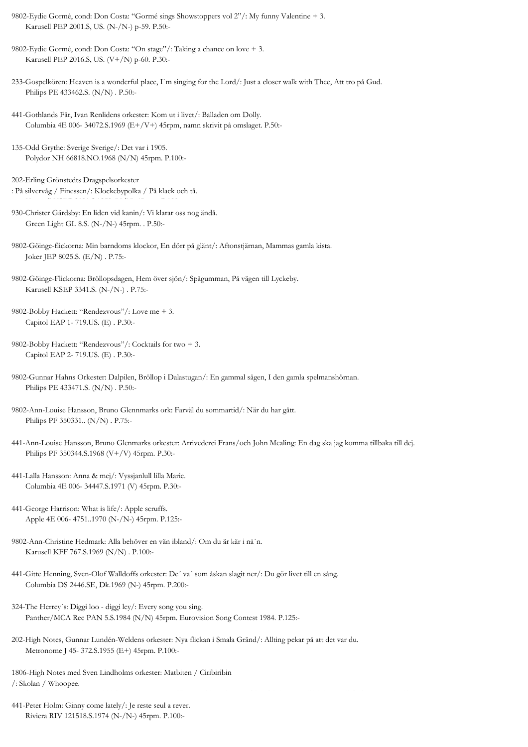9802-Eydie Gormé, cond: Don Costa: "Gormé sings Showstoppers vol 2"/: My funny Valentine + 3. Karusell PEP 2001.S, US. (N-/N-) p-59. P.50:-

9802-Eydie Gormé, cond: Don Costa: "On stage"/: Taking a chance on love + 3. Karusell PEP 2016.S, US. (V+/N) p-60. P.30:-

233-Gospelkören: Heaven is a wonderful place, I`m singing for the Lord/: Just a closer walk with Thee, Att tro på Gud. Philips PE 433462.S. (N/N) . P.50:-

- 441-Gothlands Får, Ivan Renlidens orkester: Kom ut i livet/: Balladen om Dolly. Columbia 4E 006- 34072.S.1969 (E+/V+) 45rpm, namn skrivit på omslaget. P.50:-
- 135-Odd Grythe: Sverige Sverige/: Det var i 1905. Polydor NH 66818.NO.1968 (N/N) 45rpm. P.100:-

202-Erling Grönstedts Dragspelsorkester : På silvervåg / Finessen/: Klockebypolka / På klack och tå.

- 930-Christer Gärdsby: En liden vid kanin/: Vi klarar oss nog ändå. Green Light GL 8.S. (N-/N-) 45rpm. . P.50:-
- 9802-Göinge-flickorna: Min barndoms klockor, En dörr på glänt/: Aftonstjärnan, Mammas gamla kista. Joker JEP 8025.S. (E/N) . P.75:-
- 9802-Göinge-Flickorna: Bröllopsdagen, Hem över sjön/: Spågumman, På vägen till Lyckeby. Karusell KSEP 3341.S. (N-/N-) . P.75:-
- 9802-Bobby Hackett: "Rendezvous"/: Love me + 3. Capitol EAP 1- 719.US. (E) . P.30:-
- 9802-Bobby Hackett: "Rendezvous"/: Cocktails for two + 3. Capitol EAP 2- 719.US. (E) . P.30:-
- 9802-Gunnar Hahns Orkester: Dalpilen, Bröllop i Dalastugan/: En gammal sägen, I den gamla spelmanshörnan. Philips PE 433471.S. (N/N) . P.50:-
- 9802-Ann-Louise Hansson, Bruno Glennmarks ork: Farväl du sommartid/: När du har gått. Philips PF 350331.. (N/N) . P.75:-
- 441-Ann-Louise Hansson, Bruno Glenmarks orkester: Arrivederci Frans/och John Mealing: En dag ska jag komma tillbaka till dej. Philips PF 350344.S.1968 (V+/V) 45rpm. P.30:-
- 441-Lalla Hansson: Anna & mej/: Vyssjanlull lilla Marie. Columbia 4E 006- 34447.S.1971 (V) 45rpm. P.30:-
- 441-George Harrison: What is life/: Apple scruffs. Apple 4E 006- 4751..1970 (N-/N-) 45rpm. P.125:-
- 9802-Ann-Christine Hedmark: Alla behöver en vän ibland/: Om du är kär i nå´n. Karusell KFF 767.S.1969 (N/N) . P.100:-
- 441-Gitte Henning, Sven-Olof Walldoffs orkester: De´ va´ som åskan slagit ner/: Du gör livet till en sång. Columbia DS 2446.SE, Dk.1969 (N-) 45rpm. P.200:-
- 324-The Herrey´s: Diggi loo diggi ley/: Every song you sing. Panther/MCA Rec PAN 5.S.1984 (N/N) 45rpm. Eurovision Song Contest 1984. P.125:-
- 202-High Notes, Gunnar Lundén-Weldens orkester: Nya flickan i Smala Gränd/: Allting pekar på att det var du. Metronome J 45- 372.S.1955 (E+) 45rpm. P.100:-
- 1806-High Notes med Sven Lindholms orkester: Matbiten / Ciribiribin /: Skolan / Whoopee.
- 441-Peter Holm: Ginny come lately/: Je reste seul a rever. Riviera RIV 121518.S.1974 (N-/N-) 45rpm. P.100:-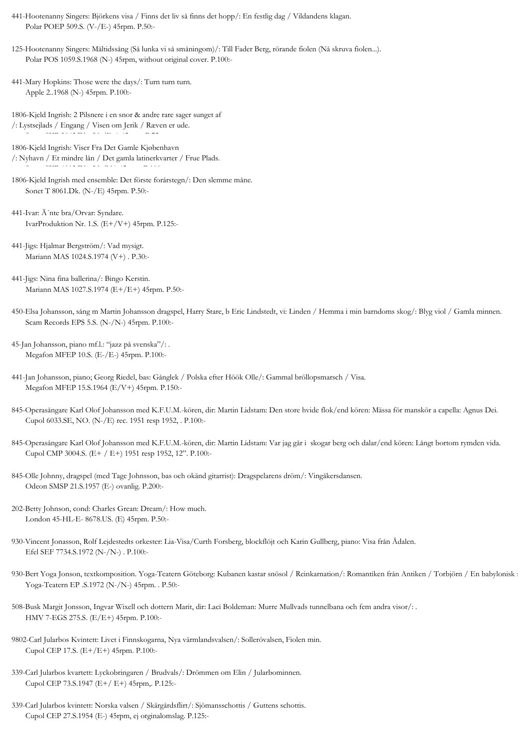- 441-Hootenanny Singers: Björkens visa / Finns det liv så finns det hopp/: En festlig dag / Vildandens klagan. Polar POEP 509.S. (V-/E-) 45rpm. P.50:-
- 125-Hootenanny Singers: Måltidssång (Så lunka vi så småningom)/: Till Fader Berg, rörande fiolen (Nå skruva fiolen...). Polar POS 1059.S.1968 (N-) 45rpm, without original cover. P.100:-
- 441-Mary Hopkins: Those were the days/: Turn turn turn. Apple 2..1968 (N-) 45rpm. P.100:-

Sonet SXP 3042.Dk. (N-/E+) 45rpm. P.75:-

- 1806-Kjeld Ingrish: 2 Pilsnere i en snor & andre rare sager sunget af /: Lystsejlads / Engang / Visen om Jerik / Ræven er ude.
- 1806-Kjeld Ingrish: Viser Fra Det Gamle Kjøbenhavn /: Nyhavn / Et mindre lån / Det gamla latinerkvarter / Frue Plads. Sonet SXP 6012.Dk. (N-/N-) 45rpm. P.100:-
- 1806-Kjeld Ingrish med ensemble: Det förste forårstegn/: Den slemme måne. Sonet T 8061.Dk. (N-/E) 45rpm. P.50:-
- 441-Ivar: Ä´nte bra/Orvar: Syndare. IvarProduktion Nr. 1.S. (E+/V+) 45rpm. P.125:-
- 441-Jigs: Hjalmar Bergström/: Vad mysigt. Mariann MAS 1024.S.1974 (V+) . P.30:-
- 441-Jigs: Nina fina ballerina/: Bingo Kerstin. Mariann MAS 1027.S.1974 (E+/E+) 45rpm. P.50:-
- 450-Elsa Johansson, sång m Martin Johansson dragspel, Harry Stare, b Eric Lindstedt, vi: Linden / Hemma i min barndoms skog/: Blyg viol / Gamla minnen. Scam Records EPS 5.S. (N-/N-) 45rpm. P.100:-
- 45-Jan Johansson, piano mf.l.: "jazz på svenska"/: . Megafon MFEP 10.S. (E-/E-) 45rpm. P.100:-
- 441-Jan Johansson, piano; Georg Riedel, bas: Gånglek / Polska efter Höök Olle/: Gammal bröllopsmarsch / Visa. Megafon MFEP 15.S.1964 (E/V+) 45rpm. P.150:-
- 845-Operasångare Karl Olof Johansson med K.F.U.M.-kören, dir: Martin Lidstam: Den store hvide flok/end kören: Mässa för manskör a capella: Agnus Dei. Cupol 6033.SE, NO. (N-/E) rec. 1951 resp 1952, . P.100:-
- 845-Operasångare Karl Olof Johansson med K.F.U.M.-kören, dir: Martin Lidstam: Var jag går i skogar berg och dalar/end kören: Långt bortom rymden vida. Cupol CMP 3004.S. (E+ / E+) 1951 resp 1952, 12". P.100:-
- 845-Olle Johnny, dragspel (med Tage Johnsson, bas och okänd gitarrist): Dragspelarens dröm/: Vingåkersdansen. Odeon SMSP 21.S.1957 (E-) ovanlig. P.200:-
- 202-Betty Johnson, cond: Charles Grean: Dream/: How much. London 45-HL-E- 8678.US. (E) 45rpm. P.50:-
- 930-Vincent Jonasson, Rolf Lejdestedts orkester: Lia-Visa/Curth Forsberg, blockflöjt och Karin Gullberg, piano: Visa från Ådalen. Efel SEF 7734.S.1972 (N-/N-) . P.100:-
- 930-Bert Yoga Jonson, textkomposition. Yoga-Teatern Göteborg: Kubanen kastar snösol / Reinkarnation/: Romantiken från Antiken / Torbjörn / En babylonisk s Yoga-Teatern EP .S.1972 (N-/N-) 45rpm. . P.50:-
- 508-Busk Margit Jonsson, Ingvar Wixell och dottern Marit, dir: Laci Boldeman: Murre Mullvads tunnelbana och fem andra visor/: . HMV 7-EGS 275.S. (E/E+) 45rpm. P.100:-
- 9802-Carl Jularbos Kvintett: Livet i Finnskogarna, Nya värmlandsvalsen/: Sollerövalsen, Fiolen min. Cupol CEP 17.S. (E+/E+) 45rpm. P.100:-
- 339-Carl Jularbos kvartett: Lyckobringaren / Brudvals/: Drömmen om Elin / Jularbominnen. Cupol CEP 73.S.1947 (E+/ E+) 45rpm,. P.125:-
- 339-Carl Jularbos kvintett: Norska valsen / Skärgårdsflirt/: Sjömansschottis / Guttens schottis. Cupol CEP 27.S.1954 (E-) 45rpm, ej orginalomslag. P.125:-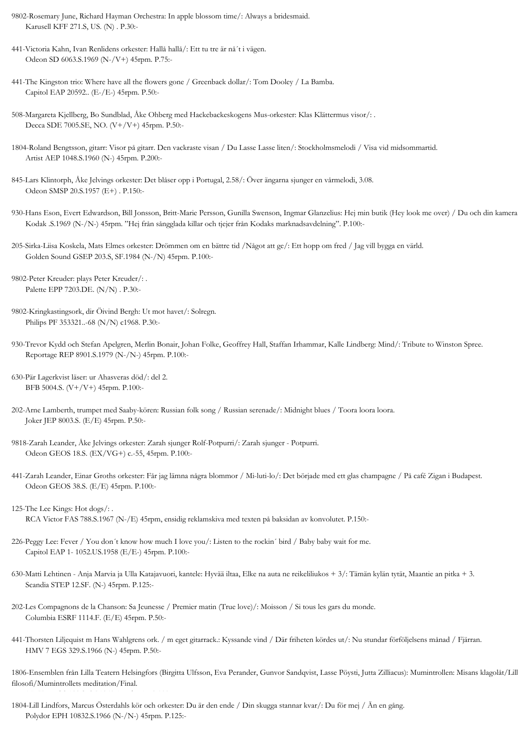9802-Rosemary June, Richard Hayman Orchestra: In apple blossom time/: Always a bridesmaid. Karusell KFF 271.S, US. (N) . P.30:-

- 441-Victoria Kahn, Ivan Renlidens orkester: Hallå hallå/: Ett tu tre är nå´t i vägen. Odeon SD 6063.S.1969 (N-/V+) 45rpm. P.75:-
- 441-The Kingston trio: Where have all the flowers gone / Greenback dollar/: Tom Dooley / La Bamba. Capitol EAP 20592.. (E-/E-) 45rpm. P.50:-
- 508-Margareta Kjellberg, Bo Sundblad, Åke Ohberg med Hackebackeskogens Mus-orkester: Klas Klättermus visor/: . Decca SDE 7005.SE, NO. (V+/V+) 45rpm. P.50:-
- 1804-Roland Bengtsson, gitarr: Visor på gitarr. Den vackraste visan / Du Lasse Lasse liten/: Stockholmsmelodi / Visa vid midsommartid. Artist AEP 1048.S.1960 (N-) 45rpm. P.200:-
- 845-Lars Klintorph, Åke Jelvings orkester: Det blåser opp i Portugal, 2.58/: Över ängarna sjunger en vårmelodi, 3.08. Odeon SMSP 20.S.1957 (E+) . P.150:-
- 930-Hans Eson, Evert Edwardson, Bill Jonsson, Britt-Marie Persson, Gunilla Swenson, Ingmar Glanzelius: Hej min butik (Hey look me over) / Du och din kamera Kodak .S.1969 (N-/N-) 45rpm. "Hej från sångglada killar och tjejer från Kodaks marknadsavdelning". P.100:-
- 205-Sirka-Liisa Koskela, Mats Elmes orkester: Drömmen om en bättre tid /Något att ge/: Ett hopp om fred / Jag vill bygga en värld. Golden Sound GSEP 203.S, SF.1984 (N-/N) 45rpm. P.100:-
- 9802-Peter Kreuder: plays Peter Kreuder/: . Palette EPP 7203.DE. (N/N) . P.30:-
- 9802-Kringkastingsork, dir Öivind Bergh: Ut mot havet/: Solregn. Philips PF 353321..-68 (N/N) c1968. P.30:-
- 930-Trevor Kydd och Stefan Apelgren, Merlin Bonair, Johan Folke, Geoffrey Hall, Staffan Irhammar, Kalle Lindberg: Mind/: Tribute to Winston Spree. Reportage REP 8901.S.1979 (N-/N-) 45rpm. P.100:-
- 630-Pär Lagerkvist läser: ur Ahasveras död/: del 2. BFB 5004.S. (V+/V+) 45rpm. P.100:-
- 202-Arne Lamberth, trumpet med Saaby-kören: Russian folk song / Russian serenade/: Midnight blues / Toora loora loora. Joker JEP 8003.S. (E/E) 45rpm. P.50:-
- 9818-Zarah Leander, Åke Jelvings orkester: Zarah sjunger Rolf-Potpurri/: Zarah sjunger Potpurri. Odeon GEOS 18.S. (EX/VG+) c.-55, 45rpm. P.100:-
- 441-Zarah Leander, Einar Groths orkester: Får jag lämna några blommor / Mi-luti-lo/: Det började med ett glas champagne / På café Zigan i Budapest. Odeon GEOS 38.S. (E/E) 45rpm. P.100:-
- 125-The Lee Kings: Hot dogs/: . RCA Victor FAS 788.S.1967 (N-/E) 45rpm, ensidig reklamskiva med texten på baksidan av konvolutet. P.150:-
- 226-Peggy Lee: Fever / You don´t know how much I love you/: Listen to the rockin´ bird / Baby baby wait for me. Capitol EAP 1- 1052.US.1958 (E/E-) 45rpm. P.100:-
- 630-Matti Lehtinen Anja Marvia ja Ulla Katajavuori, kantele: Hyvää iltaa, Elke na auta ne reikeliliukos + 3/: Tämän kylän tytät, Maantie an pitka + 3. Scandia STEP 12.SF. (N-) 45rpm. P.125:-
- 202-Les Compagnons de la Chanson: Sa Jeunesse / Premier matin (True love)/: Moisson / Si tous les gars du monde. Columbia ESRF 1114.F. (E/E) 45rpm. P.50:-
- 441-Thorsten Liljequist m Hans Wahlgrens ork. / m eget gitarrack.: Kyssande vind / Där friheten kördes ut/: Nu stundar förföljelsens månad / Fjärran. HMV 7 EGS 329.S.1966 (N-) 45rpm. P.50:-

1806-Ensemblen från Lilla Teatern Helsingfors (Birgitta Ulfsson, Eva Perander, Gunvor Sandqvist, Lasse Pöysti, Jutta Zilliacus): Mumintrollen: Misans klagolåt/Lill filosofi/Mumintrollets meditation/Final.

1804-Lill Lindfors, Marcus Österdahls kör och orkester: Du är den ende / Din skugga stannar kvar/: Du för mej / Än en gång. Polydor EPH 10832.S.1966 (N-/N-) 45rpm. P.125:-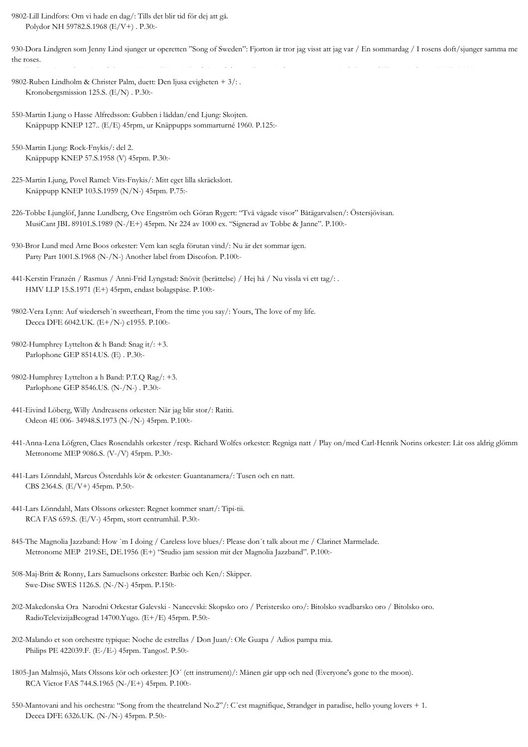9802-Lill Lindfors: Om vi hade en dag/: Tills det blir tid för dej att gå. Polydor NH 59782.S.1968 (E/V+) . P.30:-

930-Dora Lindgren som Jenny Lind sjunger ur operetten "Song of Sweden": Fjorton år tror jag visst att jag var / En sommardag / I rosens doft/sjunger samma me the roses.

DaCapo Records IMP -X/ .S. (N-) 45rpm. Skivan i platsfick med foto av Dora Lindgren som Jenny Lind. Signerad "Dora Lindgren 1961". P.100:-

- 9802-Ruben Lindholm & Christer Palm, duett: Den ljusa evigheten + 3/: . Kronobergsmission 125.S. (E/N) . P.30:-
- 550-Martin Ljung o Hasse Alfredsson: Gubben i låddan/end Ljung: Skojten. Knäppupp KNEP 127.. (E/E) 45rpm, ur Knäppupps sommarturné 1960. P.125:-
- 550-Martin Ljung: Rock-Fnykis/: del 2. Knäppupp KNEP 57.S.1958 (V) 45rpm. P.30:-
- 225-Martin Ljung, Povel Ramel: Vits-Fnykis/: Mitt eget lilla skräckslott. Knäppupp KNEP 103.S.1959 (N/N-) 45rpm. P.75:-
- 226-Tobbe Ljunglöf, Janne Lundberg, Ove Engström och Göran Rygert: "Två vågade visor" Båtägarvalsen/: Östersjövisan. MusiCant JBL 89101.S.1989 (N-/E+) 45rpm. Nr 224 av 1000 ex. "Signerad av Tobbe & Janne". P.100:-
- 930-Bror Lund med Arne Boos orkester: Vem kan segla förutan vind/: Nu är det sommar igen. Party Part 1001.S.1968 (N-/N-) Another label from Discofon. P.100:-
- 441-Kerstin Franzén / Rasmus / Anni-Frid Lyngstad: Snövit (berättelse) / Hej hå / Nu vissla vi ett tag/: . HMV LLP 15.S.1971 (E+) 45rpm, endast bolagspåse. P.100:-
- 9802-Vera Lynn: Auf wiederseh´n sweetheart, From the time you say/: Yours, The love of my life. Decca DFE 6042.UK. (E+/N-) c1955. P.100:-
- 9802-Humphrey Lyttelton & h Band: Snag it/: +3. Parlophone GEP 8514.US. (E) . P.30:-
- 9802-Humphrey Lyttelton a h Band: P.T.Q Rag/: +3. Parlophone GEP 8546.US. (N-/N-) . P.30:-
- 441-Eivind Löberg, Willy Andreasens orkester: När jag blir stor/: Ratiti. Odeon 4E 006- 34948.S.1973 (N-/N-) 45rpm. P.100:-
- 441-Anna-Lena Löfgren, Claes Rosendahls orkester /resp. Richard Wolfes orkester: Regniga natt / Play on/med Carl-Henrik Norins orkester: Låt oss aldrig glömm Metronome MEP 9086.S. (V-/V) 45rpm. P.30:-
- 441-Lars Lönndahl, Marcus Österdahls kör & orkester: Guantanamera/: Tusen och en natt. CBS 2364.S. (E/V+) 45rpm. P.50:-
- 441-Lars Lönndahl, Mats Olssons orkester: Regnet kommer snart/: Tipi-tii. RCA FAS 659.S. (E/V-) 45rpm, stort centrumhål. P.30:-
- 845-The Magnolia Jazzband: How `m I doing / Careless love blues/: Please don´t talk about me / Clarinet Marmelade. Metronome MEP 219.SE, DE.1956 (E+) "Studio jam session mit der Magnolia Jazzband". P.100:-
- 508-Maj-Britt & Ronny, Lars Samuelsons orkester: Barbie och Ken/: Skipper. Swe-Disc SWES 1126.S. (N-/N-) 45rpm. P.150:-
- 202-Makedonska Ora Narodni Orkestar Galevski Nancevski: Skopsko oro / Peristersko oro/: Bitolsko svadbarsko oro / Bitolsko oro. RadioTelevizijaBeograd 14700.Yugo. (E+/E) 45rpm. P.50:-
- 202-Malando et son orchestre typique: Noche de estrellas / Don Juan/: Ole Guapa / Adios pampa mia. Philips PE 422039.F. (E-/E-) 45rpm. Tangos!. P.50:-
- 1805-Jan Malmsjö, Mats Olssons kör och orkester: JO´ (ett instrument)/: Månen går upp och ned (Everyone's gone to the moon). RCA Victor FAS 744.S.1965 (N-/E+) 45rpm. P.100:-
- 550-Mantovani and his orchestra: "Song from the theatreland No.2"/: C´est magnifique, Strandger in paradise, hello young lovers + 1. Decca DFE 6326.UK. (N-/N-) 45rpm. P.50:-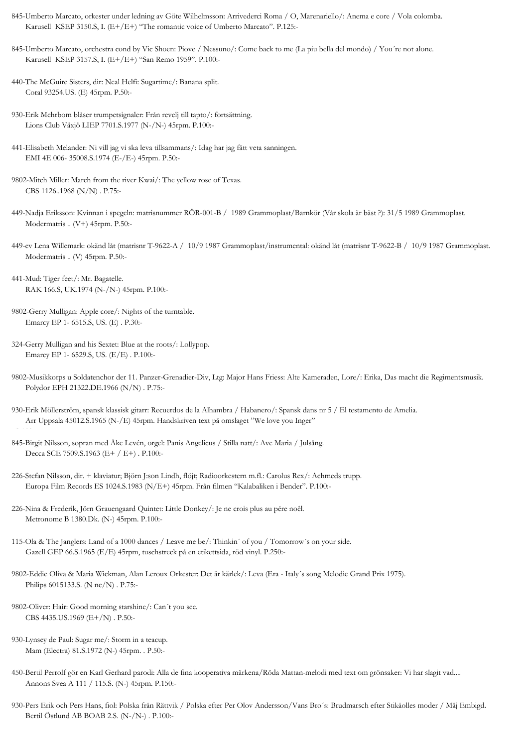- 845-Umberto Marcato, orkester under ledning av Göte Wilhelmsson: Arrivederci Roma / O, Marenariello/: Anema e core / Vola colomba. Karusell KSEP 3150.S, I. (E+/E+) "The romantic voice of Umberto Marcato". P.125:-
- 845-Umberto Marcato, orchestra cond by Vic Shoen: Piove / Nessuno/: Come back to me (La piu bella del mondo) / You´re not alone. Karusell KSEP 3157.S, I. (E+/E+) "San Remo 1959". P.100:-
- 440-The McGuire Sisters, dir: Neal Helfi: Sugartime/: Banana split. Coral 93254.US. (E) 45rpm. P.50:-
- 930-Erik Mehrbom blåser trumpetsignaler: Från revelj till tapto/: fortsättning. Lions Club Växjö LIEP 7701.S.1977 (N-/N-) 45rpm. P.100:-
- 441-Elisabeth Melander: Ni vill jag vi ska leva tillsammans/: Idag har jag fått veta sanningen. EMI 4E 006- 35008.S.1974 (E-/E-) 45rpm. P.50:-
- 9802-Mitch Miller: March from the river Kwai/: The yellow rose of Texas. CBS 1126..1968 (N/N) . P.75:-
- 449-Nadja Eriksson: Kvinnan i spegeln: matrisnummer RÖR-001-B / 1989 Grammoplast/Barnkör (Vår skola är bäst ?): 31/5 1989 Grammoplast. Modermatris .. (V+) 45rpm. P.50:-
- 449-ev Lena Willemark: okänd låt (matrisnr T-9622-A / 10/9 1987 Grammoplast/instrumental: okänd låt (matrisnr T-9622-B / 10/9 1987 Grammoplast. Modermatris .. (V) 45rpm. P.50:-
- 441-Mud: Tiger feet/: Mr. Bagatelle. RAK 166.S, UK.1974 (N-/N-) 45rpm. P.100:-

. P.100:-

- 9802-Gerry Mulligan: Apple core/: Nights of the turntable. Emarcy EP 1- 6515.S, US. (E) . P.30:-
- 324-Gerry Mulligan and his Sextet: Blue at the roots/: Lollypop. Emarcy EP 1- 6529.S, US. (E/E) . P.100:-
- 9802-Musikkorps u Soldatenchor der 11. Panzer-Grenadier-Div, Ltg: Major Hans Friess: Alte Kameraden, Lore/: Erika, Das macht die Regimentsmusik. Polydor EPH 21322.DE.1966 (N/N) . P.75:-
- 930-Erik Möllerström, spansk klassisk gitarr: Recuerdos de la Alhambra / Habanero/: Spansk dans nr 5 / El testamento de Amelia. Arr Uppsala 45012.S.1965 (N-/E) 45rpm. Handskriven text på omslaget "We love you Inger"
- 845-Birgit Nilsson, sopran med Åke Levén, orgel: Panis Angelicus / Stilla natt/: Ave Maria / Julsång. Decca SCE 7509.S.1963 (E+ / E+) . P.100:-
- 226-Stefan Nilsson, dir. + klaviatur; Björn J:son Lindh, flöjt; Radioorkestern m.fl.: Carolus Rex/: Achmeds trupp. Europa Film Records ES 1024.S.1983 (N/E+) 45rpm. Från filmen "Kalabaliken i Bender". P.100:-
- 226-Nina & Frederik, Jörn Grauengaard Quintet: Little Donkey/: Je ne crois plus au pére noêl. Metronome B 1380.Dk. (N-) 45rpm. P.100:-
- 115-Ola & The Janglers: Land of a 1000 dances / Leave me be/: Thinkin´ of you / Tomorrow´s on your side. Gazell GEP 66.S.1965 (E/E) 45rpm, tuschstreck på en etikettsida, röd vinyl. P.250:-
- 9802-Eddie Oliva & Maria Wickman, Alan Leroux Orkester: Det är kärlek/: Leva (Era Italy´s song Melodie Grand Prix 1975). Philips 6015133.S. (N nc/N) . P.75:-
- 9802-Oliver: Hair: Good morning starshine/: Can´t you see. CBS 4435.US.1969 (E+/N) . P.50:-
- 930-Lynsey de Paul: Sugar me/: Storm in a teacup. Mam (Electra) 81.S.1972 (N-) 45rpm. . P.50:-
- 450-Bertil Perrolf gör en Karl Gerhard parodi: Alla de fina kooperativa märkena/Röda Mattan-melodi med text om grönsaker: Vi har slagit vad.... Annons Svea A 111 / 115.S. (N-) 45rpm. P.150:-
- 930-Pers Erik och Pers Hans, fiol: Polska från Rättvik / Polska efter Per Olov Andersson/Vans Bro´s: Brudmarsch efter Stikåolles moder / Måj Embigd. Bertil Östlund AB BOAB 2.S. (N-/N-) . P.100:-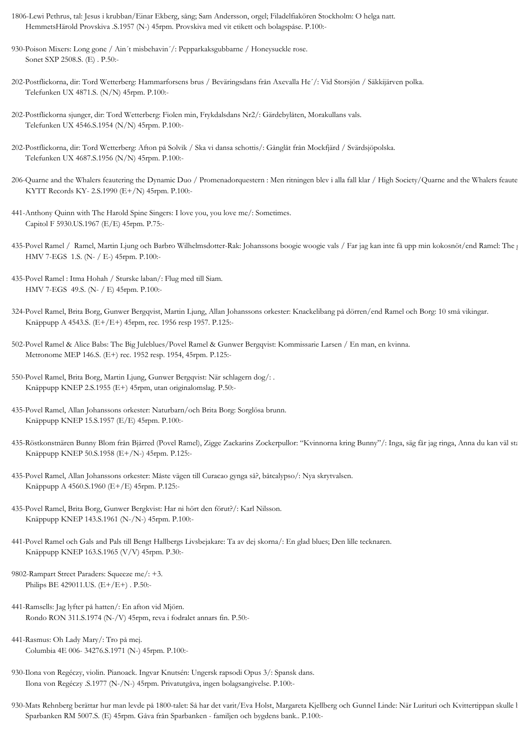- 1806-Lewi Pethrus, tal: Jesus i krubban/Einar Ekberg, sång; Sam Andersson, orgel; Filadelfiakören Stockholm: O helga natt. HemmetsHärold Provskiva .S.1957 (N-) 45rpm. Provskiva med vit etikett och bolagspåse. P.100:-
- 930-Poison Mixers: Long gone / Ain´t misbehavin´/: Pepparkaksgubbarne / Honeysuckle rose. Sonet SXP 2508.S. (E) . P.50:-
- 202-Postflickorna, dir: Tord Wetterberg: Hammarforsens brus / Beväringsdans från Axevalla He´/: Vid Storsjön / Säkkijärven polka. Telefunken UX 4871.S. (N/N) 45rpm. P.100:-
- 202-Postflickorna sjunger, dir: Tord Wetterberg: Fiolen min, Frykdalsdans Nr2/: Gärdebylåten, Morakullans vals. Telefunken UX 4546.S.1954 (N/N) 45rpm. P.100:-
- 202-Postflickorna, dir: Tord Wetterberg: Afton på Solvik / Ska vi dansa schottis/: Gånglåt från Mockfjärd / Svärdsjöpolska. Telefunken UX 4687.S.1956 (N/N) 45rpm. P.100:-
- 206-Quarne and the Whalers feautering the Dynamic Duo / Promenadorquestern : Men ritningen blev i alla fall klar / High Society/Quarne and the Whalers feaute KYTT Records KY- 2.S.1990 (E+/N) 45rpm. P.100:-
- 441-Anthony Quinn with The Harold Spine Singers: I love you, you love me/: Sometimes. Capitol F 5930.US.1967 (E/E) 45rpm. P.75:-
- 435-Povel Ramel / Ramel, Martin Ljung och Barbro Wilhelmsdotter-Rak: Johanssons boogie woogie vals / Far jag kan inte få upp min kokosnöt/end Ramel: The g HMV 7-EGS 1.S. (N- / E-) 45rpm. P.100:-
- 435-Povel Ramel : Itma Hohah / Sturske laban/: Flug med till Siam. HMV 7-EGS 49.S. (N- / E) 45rpm. P.100:-
- 324-Povel Ramel, Brita Borg, Gunwer Bergqvist, Martin Ljung, Allan Johanssons orkester: Knackelibang på dörren/end Ramel och Borg: 10 små vikingar. Knäppupp A 4543.S. (E+/E+) 45rpm, rec. 1956 resp 1957. P.125:-
- 502-Povel Ramel & Alice Babs: The Big Juleblues/Povel Ramel & Gunwer Bergqvist: Kommissarie Larsen / En man, en kvinna. Metronome MEP 146.S. (E+) rec. 1952 resp. 1954, 45rpm. P.125:-
- 550-Povel Ramel, Brita Borg, Martin Ljung, Gunwer Bergqvist: När schlagern dog/: . Knäppupp KNEP 2.S.1955 (E+) 45rpm, utan originalomslag. P.50:-
- 435-Povel Ramel, Allan Johanssons orkester: Naturbarn/och Brita Borg: Sorglösa brunn. Knäppupp KNEP 15.S.1957 (E/E) 45rpm. P.100:-
- 435-Röstkonstnären Bunny Blom från Bjärred (Povel Ramel), Zigge Zackarins Zockerpullor: "Kvinnorna kring Bunny"/: Inga, säg får jag ringa, Anna du kan väl sta Knäppupp KNEP 50.S.1958 (E+/N-) 45rpm. P.125:-
- 435-Povel Ramel, Allan Johanssons orkester: Måste vägen till Curacao gynga så?, båtcalypso/: Nya skrytvalsen. Knäppupp A 4560.S.1960 (E+/E) 45rpm. P.125:-
- 435-Povel Ramel, Brita Borg, Gunwer Bergkvist: Har ni hört den förut?/: Karl Nilsson. Knäppupp KNEP 143.S.1961 (N-/N-) 45rpm. P.100:-
- 441-Povel Ramel och Gals and Pals till Bengt Hallbergs Livsbejakare: Ta av dej skorna/: En glad blues; Den lille tecknaren. Knäppupp KNEP 163.S.1965 (V/V) 45rpm. P.30:-
- 9802-Rampart Street Paraders: Squeeze me/: +3. Philips BE 429011.US. (E+/E+) . P.50:-
- 441-Ramsells: Jag lyfter på hatten/: En afton vid Mjörn. Rondo RON 311.S.1974 (N-/V) 45rpm, reva i fodralet annars fin. P.50:-
- 441-Rasmus: Oh Lady Mary/: Tro på mej. Columbia 4E 006- 34276.S.1971 (N-) 45rpm. P.100:-
- 930-Ilona von Regéczy, violin. Pianoack. Ingvar Knutsén: Ungersk rapsodi Opus 3/: Spansk dans. Ilona von Regéczy .S.1977 (N-/N-) 45rpm. Privatutgåva, ingen bolagsangivelse. P.100:-
- 930-Mats Rehnberg berättar hur man levde på 1800-talet: Så har det varit/Eva Holst, Margareta Kjellberg och Gunnel Linde: När Lurituri och Kvittertippan skulle b Sparbanken RM 5007.S. (E) 45rpm. Gåva från Sparbanken - familjen och bygdens bank.. P.100:-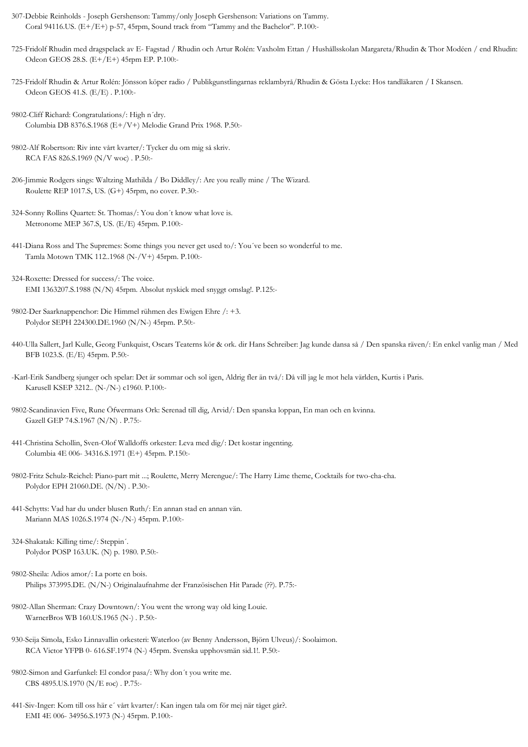- 307-Debbie Reinholds Joseph Gershenson: Tammy/only Joseph Gershenson: Variations on Tammy. Coral 94116.US.  $(E+/E+)$  p-57, 45rpm, Sound track from "Tammy and the Bachelor". P.100:-
- 725-Fridolf Rhudin med dragspelack av E- Fagstad / Rhudin och Artur Rolén: Vaxholm Ettan / Hushållsskolan Margareta/Rhudin & Thor Modéen / end Rhudin: Odeon GEOS 28.S. (E+/E+) 45rpm EP. P.100:-
- 725-Fridolf Rhudin & Artur Rolén: Jönsson köper radio / Publikgunstlingarnas reklambyrå/Rhudin & Gösta Lycke: Hos tandläkaren / I Skansen. Odeon GEOS 41.S. (E/E) . P.100:-
- 9802-Cliff Richard: Congratulations/: High n´dry. Columbia DB 8376.S.1968 (E+/V+) Melodie Grand Prix 1968. P.50:-
- 9802-Alf Robertson: Riv inte vårt kvarter/: Tycker du om mig så skriv. RCA FAS 826.S.1969 (N/V woc) . P.50:-
- 206-Jimmie Rodgers sings: Waltzing Mathilda / Bo Diddley/: Are you really mine / The Wizard. Roulette REP 1017.S, US. (G+) 45rpm, no cover. P.30:-
- 324-Sonny Rollins Quartet: St. Thomas/: You don´t know what love is. Metronome MEP 367.S, US. (E/E) 45rpm. P.100:-
- 441-Diana Ross and The Supremes: Some things you never get used to/: You´ve been so wonderful to me. Tamla Motown TMK 112..1968 (N-/V+) 45rpm. P.100:-
- 324-Roxette: Dressed for success/: The voice. EMI 1363207.S.1988 (N/N) 45rpm. Absolut nyskick med snyggt omslag!. P.125:-
- 9802-Der Saarknappenchor: Die Himmel rühmen des Ewigen Ehre /: +3. Polydor SEPH 224300.DE.1960 (N/N-) 45rpm. P.50:-
- 440-Ulla Sallert, Jarl Kulle, Georg Funkquist, Oscars Teaterns kör & ork. dir Hans Schreiber: Jag kunde dansa så / Den spanska räven/: En enkel vanlig man / Med BFB 1023.S. (E/E) 45rpm. P.50:-
- -Karl-Erik Sandberg sjunger och spelar: Det är sommar och sol igen, Aldrig fler än två/: Då vill jag le mot hela världen, Kurtis i Paris. Karusell KSEP 3212.. (N-/N-) c1960. P.100:-
- 9802-Scandinavien Five, Rune Öfwermans Ork: Serenad till dig, Arvid/: Den spanska loppan, En man och en kvinna. Gazell GEP 74.S.1967 (N/N) . P.75:-
- 441-Christina Schollin, Sven-Olof Walldoffs orkester: Leva med dig/: Det kostar ingenting. Columbia 4E 006- 34316.S.1971 (E+) 45rpm. P.150:-
- 9802-Fritz Schulz-Reichel: Piano-part mit ...; Roulette, Merry Merengue/: The Harry Lime theme, Cocktails for two-cha-cha. Polydor EPH 21060.DE. (N/N) . P.30:-
- 441-Schytts: Vad har du under blusen Ruth/: En annan stad en annan vän. Mariann MAS 1026.S.1974 (N-/N-) 45rpm. P.100:-
- 324-Shakatak: Killing time/: Steppin´. Polydor POSP 163.UK. (N) p. 1980. P.50:-
- 9802-Sheila: Adios amor/: La porte en bois. Philips 373995.DE. (N/N-) Originalaufnahme der Französischen Hit Parade (??). P.75:-
- 9802-Allan Sherman: Crazy Downtown/: You went the wrong way old king Louie. WarnerBros WB 160.US.1965 (N-) . P.50:-
- 930-Seija Simola, Esko Linnavallin orkesteri: Waterloo (av Benny Andersson, Björn Ulveus)/: Soolaimon. RCA Victor YFPB 0- 616.SF.1974 (N-) 45rpm. Svenska upphovsmän sid.1!. P.50:-
- 9802-Simon and Garfunkel: El condor pasa/: Why don´t you write me. CBS 4895.US.1970 (N/E roc) . P.75:-
- 441-Siv-Inger: Kom till oss här e´ vårt kvarter/: Kan ingen tala om för mej när tåget går?. EMI 4E 006- 34956.S.1973 (N-) 45rpm. P.100:-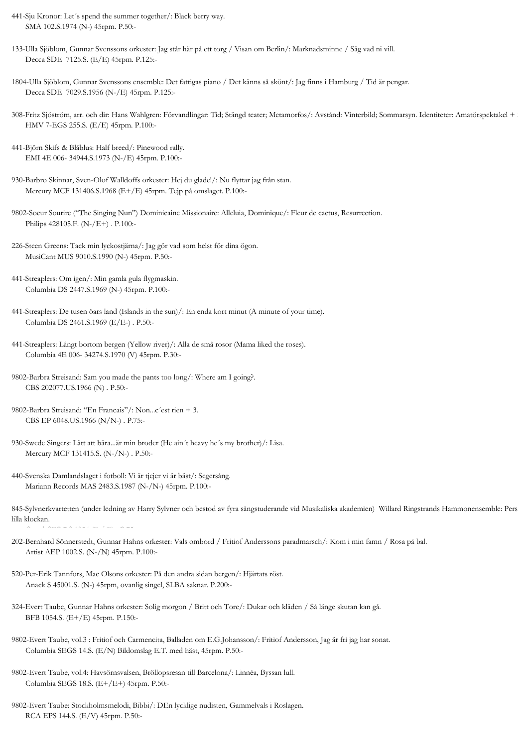- 441-Sju Kronor: Let´s spend the summer together/: Black berry way. SMA 102.S.1974 (N-) 45rpm. P.50:-
- 133-Ulla Sjöblom, Gunnar Svenssons orkester: Jag står här på ett torg / Visan om Berlin/: Marknadsminne / Säg vad ni vill. Decca SDE 7125.S. (E/E) 45rpm. P.125:-
- 1804-Ulla Sjöblom, Gunnar Svenssons ensemble: Det fattigas piano / Det känns så skönt/: Jag finns i Hamburg / Tid är pengar. Decca SDE 7029.S.1956 (N-/E) 45rpm. P.125:-
- 308-Fritz Sjöström, arr. och dir: Hans Wahlgren: Förvandlingar: Tid; Stängd teater; Metamorfos/: Avstånd: Vinterbild; Sommarsyn. Identiteter: Amatörspektakel + 2. HMV 7-EGS 255.S. (E/E) 45rpm. P.100:-
- 441-Björn Skifs & Blåblus: Half breed/: Pinewood rally. EMI 4E 006- 34944.S.1973 (N-/E) 45rpm. P.100:-
- 930-Barbro Skinnar, Sven-Olof Walldoffs orkester: Hej du glade!/: Nu flyttar jag från stan. Mercury MCF 131406.S.1968 (E+/E) 45rpm. Tejp på omslaget. P.100:-
- 9802-Soeur Sourire ("The Singing Nun") Dominicaine Missionaire: Alleluia, Dominique/: Fleur de cactus, Resurrection. Philips 428105.F. (N-/E+) . P.100:-
- 226-Steen Greens: Tack min lyckostjärna/: Jag gör vad som helst för dina ögon. MusiCant MUS 9010.S.1990 (N-) 45rpm. P.50:-
- 441-Streaplers: Om igen/: Min gamla gula flygmaskin. Columbia DS 2447.S.1969 (N-) 45rpm. P.100:-
- 441-Streaplers: De tusen öars land (Islands in the sun)/: En enda kort minut (A minute of your time). Columbia DS 2461.S.1969 (E/E-) . P.50:-
- 441-Streaplers: Långt bortom bergen (Yellow river)/: Alla de små rosor (Mama liked the roses). Columbia 4E 006- 34274.S.1970 (V) 45rpm. P.30:-
- 9802-Barbra Streisand: Sam you made the pants too long/: Where am I going?. CBS 202077.US.1966 (N) . P.50:-
- 9802-Barbra Streisand: "En Francais"/: Non...c´est rien + 3. CBS EP 6048.US.1966 (N/N-) . P.75:-

Cupol CEP 7.S.1954 (E / E) . P.75:-

- 930-Swede Singers: Lätt att bära...är min broder (He ain´t heavy he´s my brother)/: Lisa. Mercury MCF 131415.S. (N-/N-) . P.50:-
- 440-Svenska Damlandslaget i fotboll: Vi är tjejer vi är bäst/: Segersång. Mariann Records MAS 2483.S.1987 (N-/N-) 45rpm. P.100:-
- 845-Sylvnerkvartetten (under ledning av Harry Sylvner och bestod av fyra sångstuderande vid Musikaliska akademien) Willard Ringstrands Hammonensemble: Pers lilla klockan.
- 202-Bernhard Sönnerstedt, Gunnar Hahns orkester: Vals ombord / Fritiof Anderssons paradmarsch/: Kom i min famn / Rosa på bal. Artist AEP 1002.S. (N-/N) 45rpm. P.100:-
- 520-Per-Erik Tannfors, Mac Olsons orkester: På den andra sidan bergen/: Hjärtats röst. Anack S 45001.S. (N-) 45rpm, ovanlig singel, SLBA saknar. P.200:-
- 324-Evert Taube, Gunnar Hahns orkester: Solig morgon / Britt och Tore/: Dukar och kläden / Så länge skutan kan gå. BFB 1054.S. (E+/E) 45rpm. P.150:-
- 9802-Evert Taube, vol.3 : Fritiof och Carmencita, Balladen om E.G.Johansson/: Fritiof Andersson, Jag är fri jag har sonat. Columbia SEGS 14.S. (E/N) Bildomslag E.T. med häst, 45rpm. P.50:-
- 9802-Evert Taube, vol.4: Havsörnsvalsen, Bröllopsresan till Barcelona/: Linnéa, Byssan lull. Columbia SEGS 18.S. (E+/E+) 45rpm. P.50:-
- 9802-Evert Taube: Stockholmsmelodi, Bibbi/: DEn lycklige nudisten, Gammelvals i Roslagen. RCA EPS 144.S. (E/V) 45rpm. P.50:-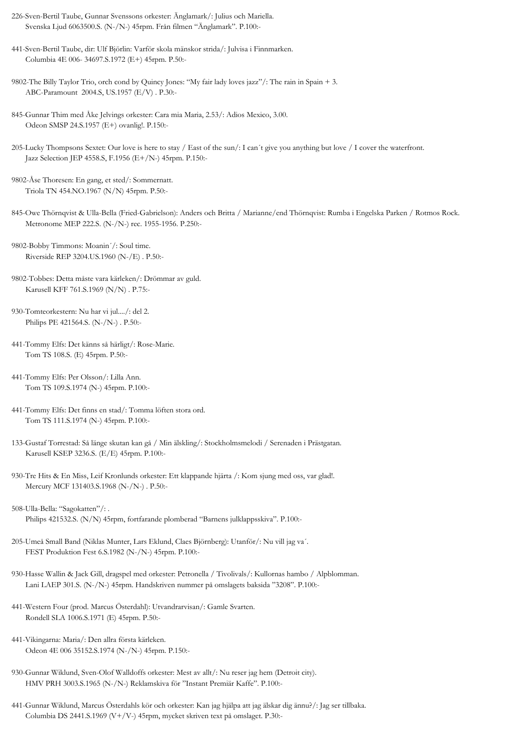- 226-Sven-Bertil Taube, Gunnar Svenssons orkester: Änglamark/: Julius och Mariella. Svenska Ljud 6063500.S. (N-/N-) 45rpm. Från filmen "Änglamark". P.100:-
- 441-Sven-Bertil Taube, dir: Ulf Björlin: Varför skola mänskor strida/: Julvisa i Finnmarken. Columbia 4E 006- 34697.S.1972 (E+) 45rpm. P.50:-
- 9802-The Billy Taylor Trio, orch cond by Quincy Jones: "My fair lady loves jazz"/: The rain in Spain + 3. ABC-Paramount 2004.S, US.1957 (E/V) . P.30:-
- 845-Gunnar Thim med Åke Jelvings orkester: Cara mia Maria, 2.53/: Adios Mexico, 3.00. Odeon SMSP 24.S.1957 (E+) ovanlig!. P.150:-
- 205-Lucky Thompsons Sextet: Our love is here to stay / East of the sun/: I can´t give you anything but love / I cover the waterfront. Jazz Selection JEP 4558.S, F.1956 (E+/N-) 45rpm. P.150:-
- 9802-Åse Thoresen: En gang, et sted/: Sommernatt. Triola TN 454.NO.1967 (N/N) 45rpm. P.50:-
- 845-Owe Thörnqvist & Ulla-Bella (Fried-Gabrielson): Anders och Britta / Marianne/end Thörnqvist: Rumba i Engelska Parken / Rotmos Rock. Metronome MEP 222.S. (N-/N-) rec. 1955-1956. P.250:-
- 9802-Bobby Timmons: Moanin´/: Soul time. Riverside REP 3204.US.1960 (N-/E) . P.50:-
- 9802-Tobbes: Detta måste vara kärleken/: Drömmar av guld. Karusell KFF 761.S.1969 (N/N) . P.75:-
- 930-Tomteorkestern: Nu har vi jul..../: del 2. Philips PE 421564.S. (N-/N-) . P.50:-
- 441-Tommy Elfs: Det känns så härligt/: Rose-Marie. Tom TS 108.S. (E) 45rpm. P.50:-
- 441-Tommy Elfs: Per Olsson/: Lilla Ann. Tom TS 109.S.1974 (N-) 45rpm. P.100:-
- 441-Tommy Elfs: Det finns en stad/: Tomma löften stora ord. Tom TS 111.S.1974 (N-) 45rpm. P.100:-
- 133-Gustaf Torrestad: Så länge skutan kan gå / Min älskling/: Stockholmsmelodi / Serenaden i Prästgatan. Karusell KSEP 3236.S. (E/E) 45rpm. P.100:-
- 930-Tre Hits & En Miss, Leif Kronlunds orkester: Ett klappande hjärta /: Kom sjung med oss, var glad!. Mercury MCF 131403.S.1968 (N-/N-) . P.50:-
- 508-Ulla-Bella: "Sagokatten"/: . Philips 421532.S. (N/N) 45rpm, fortfarande plomberad "Barnens julklappsskiva". P.100:-
- 205-Umeå Small Band (Niklas Munter, Lars Eklund, Claes Björnberg): Utanför/: Nu vill jag va´. FEST Produktion Fest 6.S.1982 (N-/N-) 45rpm. P.100:-
- 930-Hasse Wallin & Jack Gill, dragspel med orkester: Petronella / Tivolivals/: Kullornas hambo / Alpblomman. Lani LAEP 301.S. (N-/N-) 45rpm. Handskriven nummer på omslagets baksida "3208". P.100:-
- 441-Western Four (prod. Marcus Österdahl): Utvandrarvisan/: Gamle Svarten. Rondell SLA 1006.S.1971 (E) 45rpm. P.50:-
- 441-Vikingarna: Maria/: Den allra första kärleken. Odeon 4E 006 35152.S.1974 (N-/N-) 45rpm. P.150:-
- 930-Gunnar Wiklund, Sven-Olof Walldoffs orkester: Mest av allt/: Nu reser jag hem (Detroit city). HMV PRH 3003.S.1965 (N-/N-) Reklamskiva för "Instant Premiär Kaffe". P.100:-
- 441-Gunnar Wiklund, Marcus Österdahls kör och orkester: Kan jag hjälpa att jag älskar dig ännu?/: Jag ser tillbaka. Columbia DS 2441.S.1969 (V+/V-) 45rpm, mycket skriven text på omslaget. P.30:-